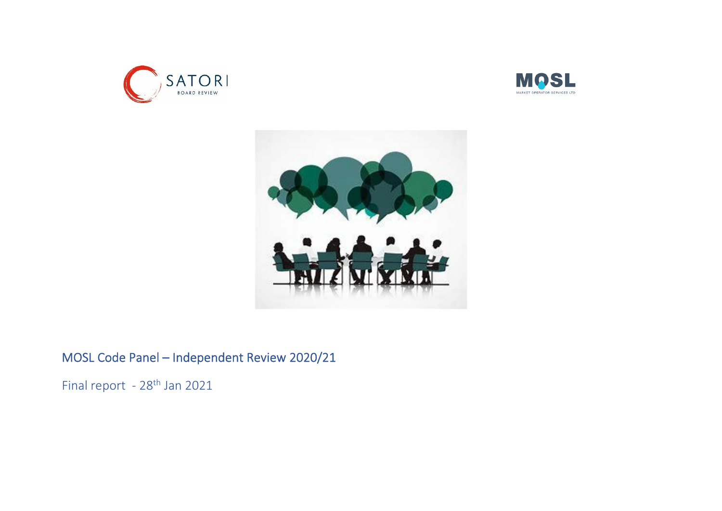





## MOSL Code Panel – Independent Review 2020/21

Final report - 28<sup>th</sup> Jan 2021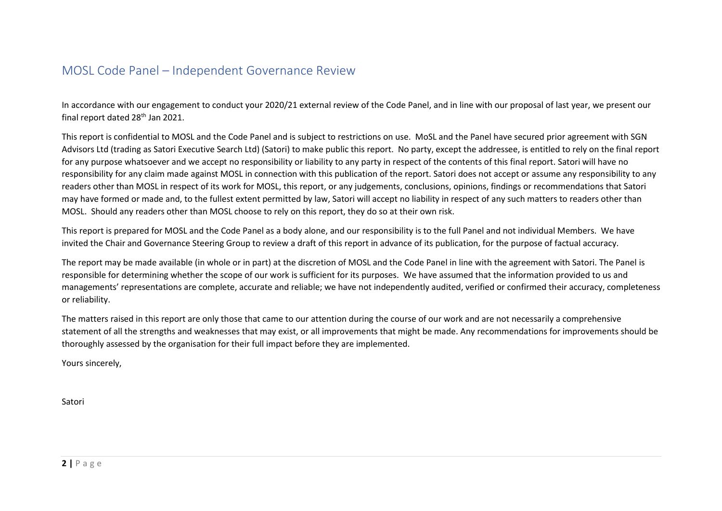### MOSL Code Panel – Independent Governance Review

In accordance with our engagement to conduct your 2020/21 external review of the Code Panel, and in line with our proposal of last year, we present our final report dated 28<sup>th</sup> Jan 2021.

This report is confidential to MOSL and the Code Panel and is subject to restrictions on use. MoSL and the Panel have secured prior agreement with SGN Advisors Ltd (trading as Satori Executive Search Ltd) (Satori) to make public this report. No party, except the addressee, is entitled to rely on the final report for any purpose whatsoever and we accept no responsibility or liability to any party in respect of the contents of this final report. Satori will have no responsibility for any claim made against MOSL in connection with this publication of the report. Satori does not accept or assume any responsibility to any readers other than MOSL in respect of its work for MOSL, this report, or any judgements, conclusions, opinions, findings or recommendations that Satori may have formed or made and, to the fullest extent permitted by law, Satori will accept no liability in respect of any such matters to readers other than MOSL. Should any readers other than MOSL choose to rely on this report, they do so at their own risk.

This report is prepared for MOSL and the Code Panel as a body alone, and our responsibility is to the full Panel and not individual Members. We have invited the Chair and Governance Steering Group to review a draft of this report in advance of its publication, for the purpose of factual accuracy.

The report may be made available (in whole or in part) at the discretion of MOSL and the Code Panel in line with the agreement with Satori. The Panel is responsible for determining whether the scope of our work is sufficient for its purposes. We have assumed that the information provided to us and managements' representations are complete, accurate and reliable; we have not independently audited, verified or confirmed their accuracy, completeness or reliability.

The matters raised in this report are only those that came to our attention during the course of our work and are not necessarily a comprehensive statement of all the strengths and weaknesses that may exist, or all improvements that might be made. Any recommendations for improvements should be thoroughly assessed by the organisation for their full impact before they are implemented.

Yours sincerely,

Satori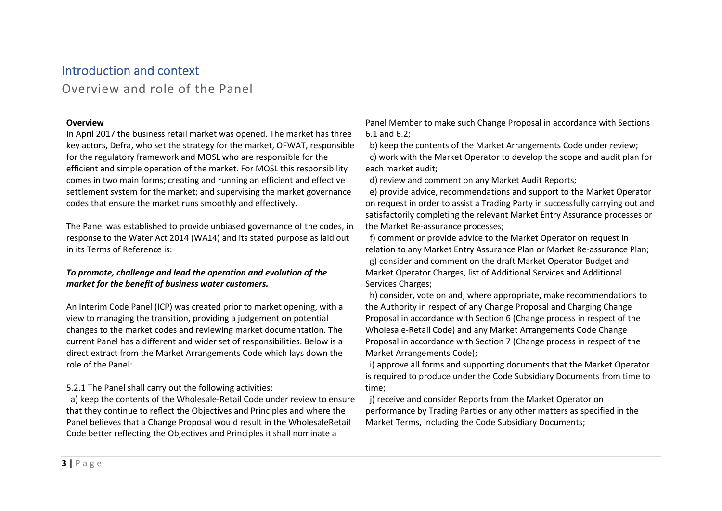### Introduction and context

Overview and role of the Panel

#### **Overview**

In April 2017 the business retail market was opened. The market has three key actors, Defra, who set the strategy for the market, OFWAT, responsible for the regulatory framework and MOSL who are responsible for the efficient and simple operation of the market. For MOSL this responsibility comes in two main forms; creating and running an efficient and effective settlement system for the market; and supervising the market governance codes that ensure the market runs smoothly and effectively.

The Panel was established to provide unbiased governance of the codes, in response to the Water Act 2014 (WA14) and its stated purpose as laid out in its Terms of Reference is:

#### *To promote, challenge and lead the operation and evolution of the market for the benefit of business water customers.*

An Interim Code Panel (ICP) was created prior to market opening, with a view to managing the transition, providing a judgement on potential changes to the market codes and reviewing market documentation. The current Panel has a different and wider set of responsibilities. Below is a direct extract from the Market Arrangements Code which lays down the role of the Panel:

#### 5.2.1 The Panel shall carry out the following activities:

 a) keep the contents of the Wholesale-Retail Code under review to ensure that they continue to reflect the Objectives and Principles and where the Panel believes that a Change Proposal would result in the WholesaleRetail Code better reflecting the Objectives and Principles it shall nominate a

Panel Member to make such Change Proposal in accordance with Sections 6.1 and 6.2;

b) keep the contents of the Market Arrangements Code under review;

 c) work with the Market Operator to develop the scope and audit plan for each market audit;

d) review and comment on any Market Audit Reports;

 e) provide advice, recommendations and support to the Market Operator on request in order to assist a Trading Party in successfully carrying out and satisfactorily completing the relevant Market Entry Assurance processes or the Market Re-assurance processes;

 f) comment or provide advice to the Market Operator on request in relation to any Market Entry Assurance Plan or Market Re-assurance Plan; g) consider and comment on the draft Market Operator Budget and Market Operator Charges, list of Additional Services and Additional Services Charges;

 h) consider, vote on and, where appropriate, make recommendations to the Authority in respect of any Change Proposal and Charging Change Proposal in accordance with Section 6 (Change process in respect of the Wholesale-Retail Code) and any Market Arrangements Code Change Proposal in accordance with Section 7 (Change process in respect of the Market Arrangements Code);

 i) approve all forms and supporting documents that the Market Operator is required to produce under the Code Subsidiary Documents from time to time;

 j) receive and consider Reports from the Market Operator on performance by Trading Parties or any other matters as specified in the Market Terms, including the Code Subsidiary Documents;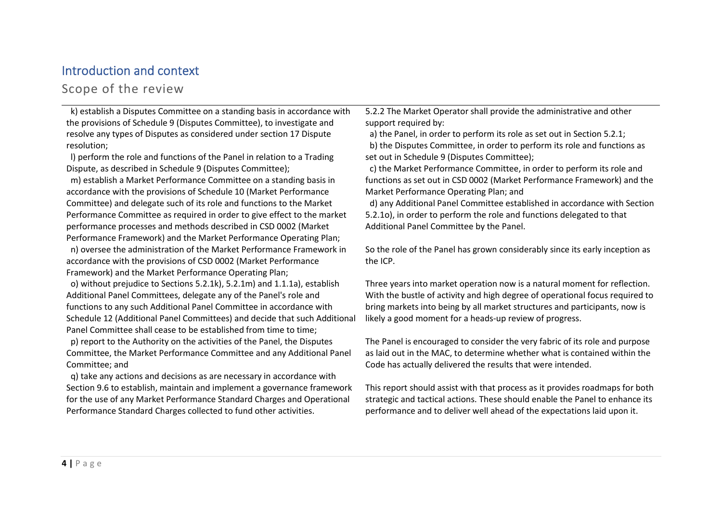### Introduction and context

### Scope of the review

 k) establish a Disputes Committee on a standing basis in accordance with the provisions of Schedule 9 (Disputes Committee), to investigate and resolve any types of Disputes as considered under section 17 Dispute resolution;

 l) perform the role and functions of the Panel in relation to a Trading Dispute, as described in Schedule 9 (Disputes Committee);

 m) establish a Market Performance Committee on a standing basis in accordance with the provisions of Schedule 10 (Market Performance Committee) and delegate such of its role and functions to the Market Performance Committee as required in order to give effect to the market performance processes and methods described in CSD 0002 (Market Performance Framework) and the Market Performance Operating Plan;

 n) oversee the administration of the Market Performance Framework in accordance with the provisions of CSD 0002 (Market Performance Framework) and the Market Performance Operating Plan;

 o) without prejudice to Sections 5.2.1k), 5.2.1m) and 1.1.1a), establish Additional Panel Committees, delegate any of the Panel's role and functions to any such Additional Panel Committee in accordance with Schedule 12 (Additional Panel Committees) and decide that such Additional Panel Committee shall cease to be established from time to time;

 p) report to the Authority on the activities of the Panel, the Disputes Committee, the Market Performance Committee and any Additional Panel Committee; and

 q) take any actions and decisions as are necessary in accordance with Section 9.6 to establish, maintain and implement a governance framework for the use of any Market Performance Standard Charges and Operational Performance Standard Charges collected to fund other activities.

5.2.2 The Market Operator shall provide the administrative and other support required by:

 a) the Panel, in order to perform its role as set out in Section 5.2.1; b) the Disputes Committee, in order to perform its role and functions as set out in Schedule 9 (Disputes Committee);

 c) the Market Performance Committee, in order to perform its role and functions as set out in CSD 0002 (Market Performance Framework) and the Market Performance Operating Plan; and

 d) any Additional Panel Committee established in accordance with Section 5.2.1o), in order to perform the role and functions delegated to that Additional Panel Committee by the Panel.

So the role of the Panel has grown considerably since its early inception as the ICP.

Three years into market operation now is a natural moment for reflection. With the bustle of activity and high degree of operational focus required to bring markets into being by all market structures and participants, now is likely a good moment for a heads-up review of progress.

The Panel is encouraged to consider the very fabric of its role and purpose as laid out in the MAC, to determine whether what is contained within the Code has actually delivered the results that were intended.

This report should assist with that process as it provides roadmaps for both strategic and tactical actions. These should enable the Panel to enhance its performance and to deliver well ahead of the expectations laid upon it.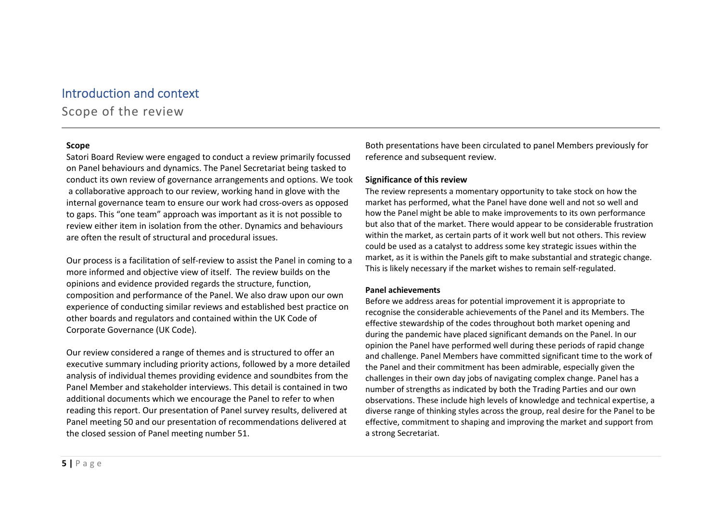## Introduction and context Scope of the review

#### Scope

Satori Board Review were engaged to conduct a review primarily focussed on Panel behaviours and dynamics. The Panel Secretariat being tasked to conduct its own review of governance arrangements and options. We took a collaborative approach to our review, working hand in glove with the internal governance team to ensure our work had cross-overs as opposed to gaps. This "one team" approach was important as it is not possible to review either item in isolation from the other. Dynamics and behaviours are often the result of structural and procedural issues.

Our process is a facilitation of self-review to assist the Panel in coming to a more informed and objective view of itself. The review builds on the opinions and evidence provided regards the structure, function, composition and performance of the Panel. We also draw upon our own experience of conducting similar reviews and established best practice on other boards and regulators and contained within the UK Code of Corporate Governance (UK Code).

Our review considered a range of themes and is structured to offer an executive summary including priority actions, followed by a more detailed analysis of individual themes providing evidence and soundbites from the Panel Member and stakeholder interviews. This detail is contained in two additional documents which we encourage the Panel to refer to when reading this report. Our presentation of Panel survey results, delivered at Panel meeting 50 and our presentation of recommendations delivered at the closed session of Panel meeting number 51.

Both presentations have been circulated to panel Members previously for reference and subsequent review.

#### Significance of this review

The review represents a momentary opportunity to take stock on how the market has performed, what the Panel have done well and not so well and how the Panel might be able to make improvements to its own performance but also that of the market. There would appear to be considerable frustration within the market, as certain parts of it work well but not others. This review could be used as a catalyst to address some key strategic issues within the market, as it is within the Panels gift to make substantial and strategic change. This is likely necessary if the market wishes to remain self-regulated.

#### Panel achievements

Before we address areas for potential improvement it is appropriate to recognise the considerable achievements of the Panel and its Members. The effective stewardship of the codes throughout both market opening and during the pandemic have placed significant demands on the Panel. In our opinion the Panel have performed well during these periods of rapid change and challenge. Panel Members have committed significant time to the work of the Panel and their commitment has been admirable, especially given the challenges in their own day jobs of navigating complex change. Panel has a number of strengths as indicated by both the Trading Parties and our own observations. These include high levels of knowledge and technical expertise, a diverse range of thinking styles across the group, real desire for the Panel to be effective, commitment to shaping and improving the market and support from a strong Secretariat.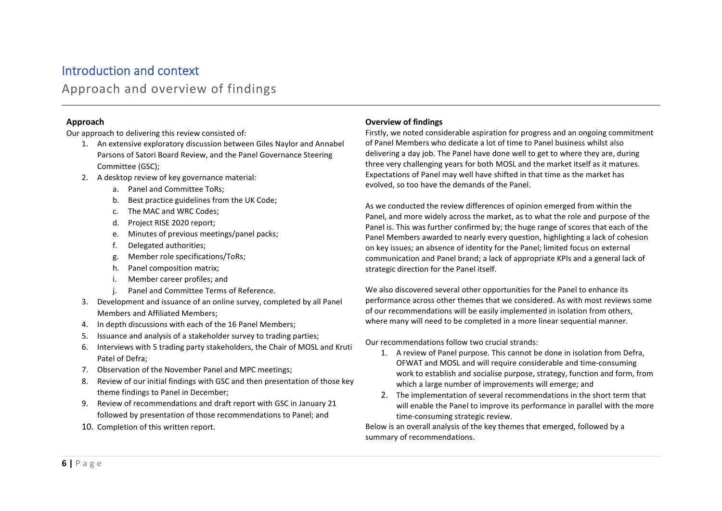### Introduction and context Approach and overview of findings

#### Approach

Our approach to delivering this review consisted of:

- 1. An extensive exploratory discussion between Giles Naylor and Annabel Parsons of Satori Board Review, and the Panel Governance Steering Committee (GSC);
- 2. A desktop review of key governance material:
	- a. Panel and Committee ToRs;
	- b. Best practice guidelines from the UK Code;
	- c. The MAC and WRC Codes;
	- d. Project RISE 2020 report;
	- e. Minutes of previous meetings/panel packs;
	- f. Delegated authorities;
	- g. Member role specifications/ToRs;
	- h. Panel composition matrix;
	- i. Member career profiles; and
	- j. Panel and Committee Terms of Reference.
- 3. Development and issuance of an online survey, completed by all Panel Members and Affiliated Members;
- 4. In depth discussions with each of the 16 Panel Members;
- 5. Issuance and analysis of a stakeholder survey to trading parties;
- 6. Interviews with 5 trading party stakeholders, the Chair of MOSL and Kruti Patel of Defra;
- 7. Observation of the November Panel and MPC meetings;
- 8. Review of our initial findings with GSC and then presentation of those key theme findings to Panel in December;
- 9. Review of recommendations and draft report with GSC in January 21 followed by presentation of those recommendations to Panel; and
- 10. Completion of this written report.

#### Overview of findings

Firstly, we noted considerable aspiration for progress and an ongoing commitment of Panel Members who dedicate a lot of time to Panel business whilst also delivering a day job. The Panel have done well to get to where they are, during three very challenging years for both MOSL and the market itself as it matures. Expectations of Panel may well have shifted in that time as the market has evolved, so too have the demands of the Panel.

As we conducted the review differences of opinion emerged from within the Panel, and more widely across the market, as to what the role and purpose of the Panel is. This was further confirmed by; the huge range of scores that each of the Panel Members awarded to nearly every question, highlighting a lack of cohesion on key issues; an absence of identity for the Panel; limited focus on external communication and Panel brand; a lack of appropriate KPIs and a general lack of strategic direction for the Panel itself.

We also discovered several other opportunities for the Panel to enhance its performance across other themes that we considered. As with most reviews some of our recommendations will be easily implemented in isolation from others, where many will need to be completed in a more linear sequential manner.

Our recommendations follow two crucial strands:

- 1. A review of Panel purpose. This cannot be done in isolation from Defra, OFWAT and MOSL and will require considerable and time-consuming work to establish and socialise purpose, strategy, function and form, from which a large number of improvements will emerge; and
- 2. The implementation of several recommendations in the short term that will enable the Panel to improve its performance in parallel with the more time-consuming strategic review.

Below is an overall analysis of the key themes that emerged, followed by a summary of recommendations.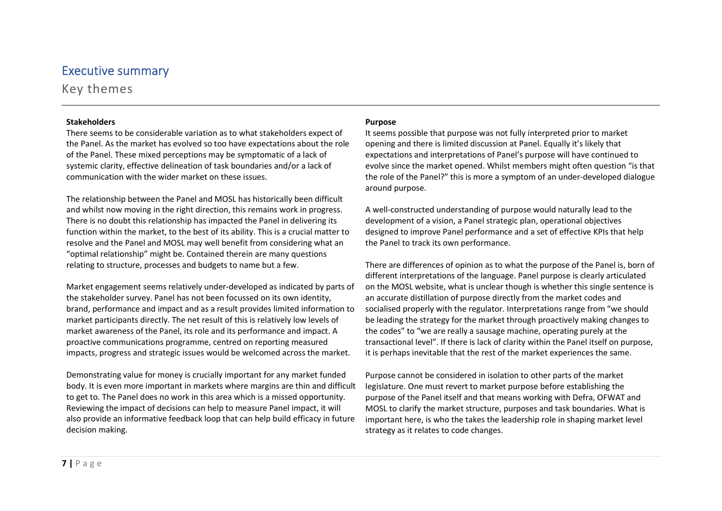Key themes

#### Stakeholders

There seems to be considerable variation as to what stakeholders expect of the Panel. As the market has evolved so too have expectations about the role of the Panel. These mixed perceptions may be symptomatic of a lack of systemic clarity, effective delineation of task boundaries and/or a lack of communication with the wider market on these issues.

The relationship between the Panel and MOSL has historically been difficult and whilst now moving in the right direction, this remains work in progress. There is no doubt this relationship has impacted the Panel in delivering its function within the market, to the best of its ability. This is a crucial matter to resolve and the Panel and MOSL may well benefit from considering what an "optimal relationship" might be. Contained therein are many questions relating to structure, processes and budgets to name but a few.

Market engagement seems relatively under-developed as indicated by parts of the stakeholder survey. Panel has not been focussed on its own identity, brand, performance and impact and as a result provides limited information to market participants directly. The net result of this is relatively low levels of market awareness of the Panel, its role and its performance and impact. A proactive communications programme, centred on reporting measured impacts, progress and strategic issues would be welcomed across the market.

Demonstrating value for money is crucially important for any market funded body. It is even more important in markets where margins are thin and difficult to get to. The Panel does no work in this area which is a missed opportunity. Reviewing the impact of decisions can help to measure Panel impact, it will also provide an informative feedback loop that can help build efficacy in future decision making.

#### Purpose

It seems possible that purpose was not fully interpreted prior to market opening and there is limited discussion at Panel. Equally it's likely that expectations and interpretations of Panel's purpose will have continued to evolve since the market opened. Whilst members might often question "is that the role of the Panel?" this is more a symptom of an under-developed dialogue around purpose.

A well-constructed understanding of purpose would naturally lead to the development of a vision, a Panel strategic plan, operational objectives designed to improve Panel performance and a set of effective KPIs that help the Panel to track its own performance.

There are differences of opinion as to what the purpose of the Panel is, born of different interpretations of the language. Panel purpose is clearly articulated on the MOSL website, what is unclear though is whether this single sentence is an accurate distillation of purpose directly from the market codes and socialised properly with the regulator. Interpretations range from "we should be leading the strategy for the market through proactively making changes to the codes" to "we are really a sausage machine, operating purely at the transactional level". If there is lack of clarity within the Panel itself on purpose, it is perhaps inevitable that the rest of the market experiences the same.

Purpose cannot be considered in isolation to other parts of the market legislature. One must revert to market purpose before establishing the purpose of the Panel itself and that means working with Defra, OFWAT and MOSL to clarify the market structure, purposes and task boundaries. What is important here, is who the takes the leadership role in shaping market level strategy as it relates to code changes.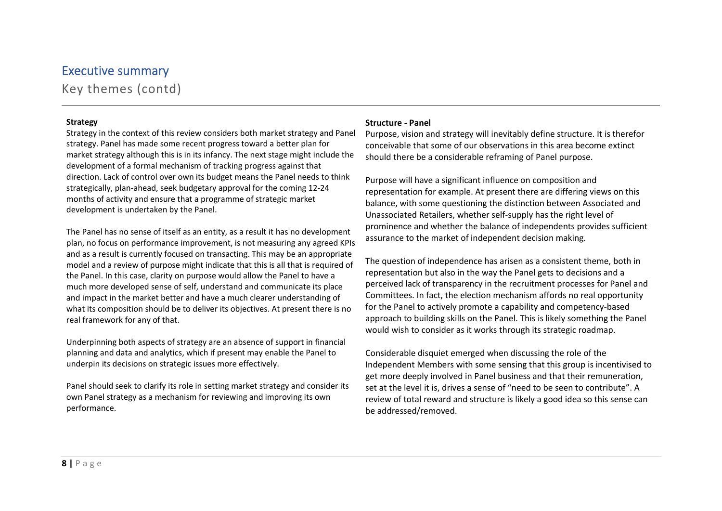Key themes (contd)

#### **Strategy**

Strategy in the context of this review considers both market strategy and Panel strategy. Panel has made some recent progress toward a better plan for market strategy although this is in its infancy. The next stage might include the development of a formal mechanism of tracking progress against that direction. Lack of control over own its budget means the Panel needs to think strategically, plan-ahead, seek budgetary approval for the coming 12-24 months of activity and ensure that a programme of strategic market development is undertaken by the Panel.

The Panel has no sense of itself as an entity, as a result it has no development plan, no focus on performance improvement, is not measuring any agreed KPIs and as a result is currently focused on transacting. This may be an appropriate model and a review of purpose might indicate that this is all that is required of the Panel. In this case, clarity on purpose would allow the Panel to have a much more developed sense of self, understand and communicate its place and impact in the market better and have a much clearer understanding of what its composition should be to deliver its objectives. At present there is no real framework for any of that.

Underpinning both aspects of strategy are an absence of support in financial planning and data and analytics, which if present may enable the Panel to underpin its decisions on strategic issues more effectively.

Panel should seek to clarify its role in setting market strategy and consider its own Panel strategy as a mechanism for reviewing and improving its own performance.

#### Structure - Panel

Purpose, vision and strategy will inevitably define structure. It is therefor conceivable that some of our observations in this area become extinct should there be a considerable reframing of Panel purpose.

Purpose will have a significant influence on composition and representation for example. At present there are differing views on this balance, with some questioning the distinction between Associated and Unassociated Retailers, whether self-supply has the right level of prominence and whether the balance of independents provides sufficient assurance to the market of independent decision making.

The question of independence has arisen as a consistent theme, both in representation but also in the way the Panel gets to decisions and a perceived lack of transparency in the recruitment processes for Panel and Committees. In fact, the election mechanism affords no real opportunity for the Panel to actively promote a capability and competency-based approach to building skills on the Panel. This is likely something the Panel would wish to consider as it works through its strategic roadmap.

Considerable disquiet emerged when discussing the role of the Independent Members with some sensing that this group is incentivised to get more deeply involved in Panel business and that their remuneration, set at the level it is, drives a sense of "need to be seen to contribute". A review of total reward and structure is likely a good idea so this sense can be addressed/removed.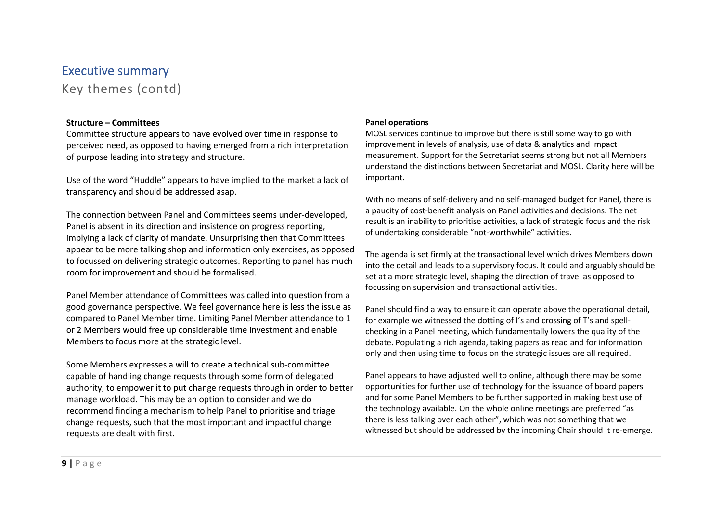Key themes (contd)

#### Structure – Committees

Committee structure appears to have evolved over time in response to perceived need, as opposed to having emerged from a rich interpretation of purpose leading into strategy and structure.

Use of the word "Huddle" appears to have implied to the market a lack of transparency and should be addressed asap.

The connection between Panel and Committees seems under-developed, Panel is absent in its direction and insistence on progress reporting, implying a lack of clarity of mandate. Unsurprising then that Committees appear to be more talking shop and information only exercises, as opposed to focussed on delivering strategic outcomes. Reporting to panel has much room for improvement and should be formalised.

Panel Member attendance of Committees was called into question from a good governance perspective. We feel governance here is less the issue as compared to Panel Member time. Limiting Panel Member attendance to 1 or 2 Members would free up considerable time investment and enable Members to focus more at the strategic level.

Some Members expresses a will to create a technical sub-committee capable of handling change requests through some form of delegated authority, to empower it to put change requests through in order to better manage workload. This may be an option to consider and we do recommend finding a mechanism to help Panel to prioritise and triage change requests, such that the most important and impactful change requests are dealt with first.

#### Panel operations

MOSL services continue to improve but there is still some way to go with improvement in levels of analysis, use of data & analytics and impact measurement. Support for the Secretariat seems strong but not all Members understand the distinctions between Secretariat and MOSL. Clarity here will be important.

With no means of self-delivery and no self-managed budget for Panel, there is a paucity of cost-benefit analysis on Panel activities and decisions. The net result is an inability to prioritise activities, a lack of strategic focus and the risk of undertaking considerable "not-worthwhile" activities.

The agenda is set firmly at the transactional level which drives Members down into the detail and leads to a supervisory focus. It could and arguably should be set at a more strategic level, shaping the direction of travel as opposed to focussing on supervision and transactional activities.

Panel should find a way to ensure it can operate above the operational detail, for example we witnessed the dotting of I's and crossing of T's and spellchecking in a Panel meeting, which fundamentally lowers the quality of the debate. Populating a rich agenda, taking papers as read and for information only and then using time to focus on the strategic issues are all required.

Panel appears to have adjusted well to online, although there may be some opportunities for further use of technology for the issuance of board papers and for some Panel Members to be further supported in making best use of the technology available. On the whole online meetings are preferred "as there is less talking over each other", which was not something that we witnessed but should be addressed by the incoming Chair should it re-emerge.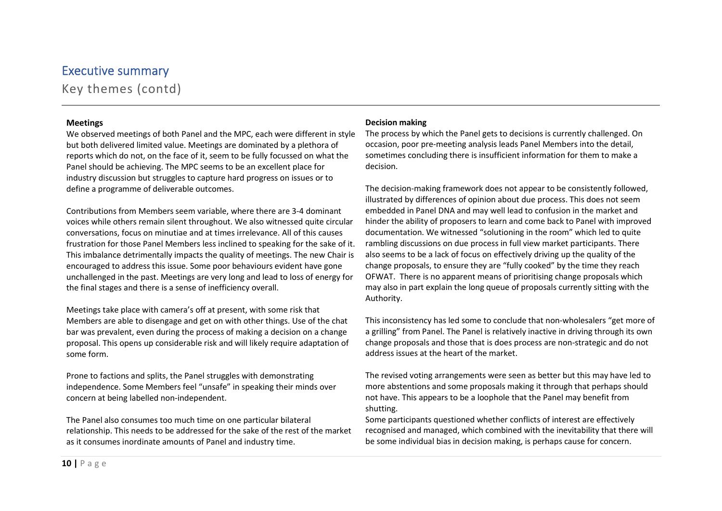Key themes (contd)

#### Meetings

We observed meetings of both Panel and the MPC, each were different in style but both delivered limited value. Meetings are dominated by a plethora of reports which do not, on the face of it, seem to be fully focussed on what the Panel should be achieving. The MPC seems to be an excellent place for industry discussion but struggles to capture hard progress on issues or to define a programme of deliverable outcomes.

Contributions from Members seem variable, where there are 3-4 dominant voices while others remain silent throughout. We also witnessed quite circular conversations, focus on minutiae and at times irrelevance. All of this causes frustration for those Panel Members less inclined to speaking for the sake of it. This imbalance detrimentally impacts the quality of meetings. The new Chair is encouraged to address this issue. Some poor behaviours evident have gone unchallenged in the past. Meetings are very long and lead to loss of energy for the final stages and there is a sense of inefficiency overall.

Meetings take place with camera's off at present, with some risk that Members are able to disengage and get on with other things. Use of the chat bar was prevalent, even during the process of making a decision on a change proposal. This opens up considerable risk and will likely require adaptation of some form.

Prone to factions and splits, the Panel struggles with demonstrating independence. Some Members feel "unsafe" in speaking their minds over concern at being labelled non-independent.

The Panel also consumes too much time on one particular bilateral relationship. This needs to be addressed for the sake of the rest of the market as it consumes inordinate amounts of Panel and industry time.

#### Decision making

The process by which the Panel gets to decisions is currently challenged. On occasion, poor pre-meeting analysis leads Panel Members into the detail, sometimes concluding there is insufficient information for them to make a decision.

The decision-making framework does not appear to be consistently followed, illustrated by differences of opinion about due process. This does not seem embedded in Panel DNA and may well lead to confusion in the market and hinder the ability of proposers to learn and come back to Panel with improved documentation. We witnessed "solutioning in the room" which led to quite rambling discussions on due process in full view market participants. There also seems to be a lack of focus on effectively driving up the quality of the change proposals, to ensure they are "fully cooked" by the time they reach OFWAT. There is no apparent means of prioritising change proposals which may also in part explain the long queue of proposals currently sitting with the Authority.

This inconsistency has led some to conclude that non-wholesalers "get more of a grilling" from Panel. The Panel is relatively inactive in driving through its own change proposals and those that is does process are non-strategic and do not address issues at the heart of the market.

The revised voting arrangements were seen as better but this may have led to more abstentions and some proposals making it through that perhaps should not have. This appears to be a loophole that the Panel may benefit from shutting.

Some participants questioned whether conflicts of interest are effectively recognised and managed, which combined with the inevitability that there will be some individual bias in decision making, is perhaps cause for concern.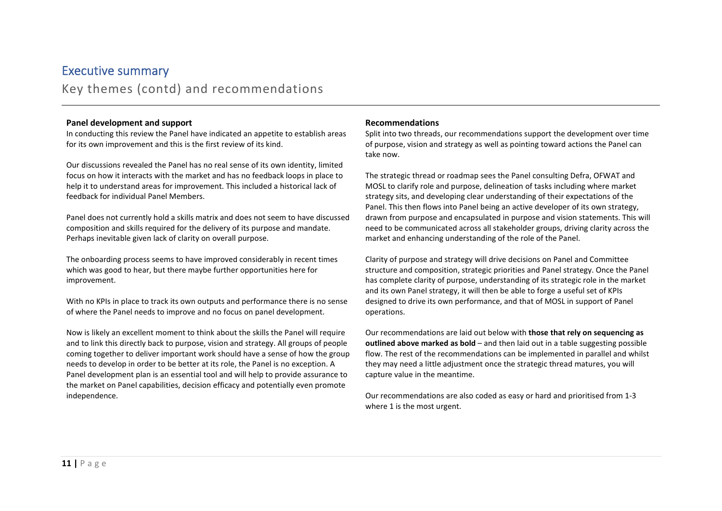Key themes (contd) and recommendations

#### Panel development and support

In conducting this review the Panel have indicated an appetite to establish areas for its own improvement and this is the first review of its kind.

Our discussions revealed the Panel has no real sense of its own identity, limited focus on how it interacts with the market and has no feedback loops in place to help it to understand areas for improvement. This included a historical lack of feedback for individual Panel Members.

Panel does not currently hold a skills matrix and does not seem to have discussed composition and skills required for the delivery of its purpose and mandate. Perhaps inevitable given lack of clarity on overall purpose.

The onboarding process seems to have improved considerably in recent times which was good to hear, but there maybe further opportunities here for improvement.

With no KPIs in place to track its own outputs and performance there is no sense of where the Panel needs to improve and no focus on panel development.

Now is likely an excellent moment to think about the skills the Panel will require and to link this directly back to purpose, vision and strategy. All groups of people coming together to deliver important work should have a sense of how the group needs to develop in order to be better at its role, the Panel is no exception. A Panel development plan is an essential tool and will help to provide assurance to the market on Panel capabilities, decision efficacy and potentially even promote independence.

#### Recommendations

Split into two threads, our recommendations support the development over time of purpose, vision and strategy as well as pointing toward actions the Panel can take now.

The strategic thread or roadmap sees the Panel consulting Defra, OFWAT and MOSL to clarify role and purpose, delineation of tasks including where market strategy sits, and developing clear understanding of their expectations of the Panel. This then flows into Panel being an active developer of its own strategy, drawn from purpose and encapsulated in purpose and vision statements. This will need to be communicated across all stakeholder groups, driving clarity across the market and enhancing understanding of the role of the Panel.

Clarity of purpose and strategy will drive decisions on Panel and Committee structure and composition, strategic priorities and Panel strategy. Once the Panel has complete clarity of purpose, understanding of its strategic role in the market and its own Panel strategy, it will then be able to forge a useful set of KPIs designed to drive its own performance, and that of MOSL in support of Panel operations.

Our recommendations are laid out below with those that rely on sequencing as outlined above marked as bold  $-$  and then laid out in a table suggesting possible flow. The rest of the recommendations can be implemented in parallel and whilst they may need a little adjustment once the strategic thread matures, you will capture value in the meantime.

Our recommendations are also coded as easy or hard and prioritised from 1-3 where 1 is the most urgent.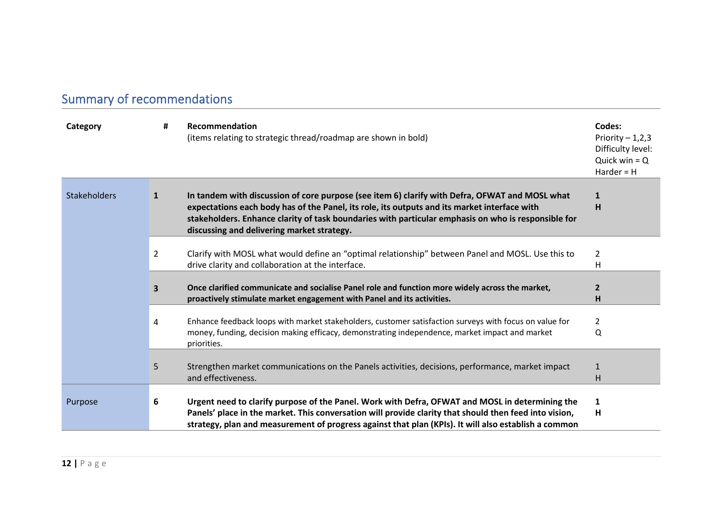# Summary of recommendations

| Category            | #              | Recommendation<br>(items relating to strategic thread/roadmap are shown in bold)                                                                                                                                                                                                                                                                    | Codes:<br>Priority $-1,2,3$<br>Difficulty level:<br>Quick win $= Q$<br>$Harder = H$ |
|---------------------|----------------|-----------------------------------------------------------------------------------------------------------------------------------------------------------------------------------------------------------------------------------------------------------------------------------------------------------------------------------------------------|-------------------------------------------------------------------------------------|
| <b>Stakeholders</b> | 1              | In tandem with discussion of core purpose (see item 6) clarify with Defra, OFWAT and MOSL what<br>expectations each body has of the Panel, its role, its outputs and its market interface with<br>stakeholders. Enhance clarity of task boundaries with particular emphasis on who is responsible for<br>discussing and delivering market strategy. | 1<br>н                                                                              |
|                     | $\overline{2}$ | Clarify with MOSL what would define an "optimal relationship" between Panel and MOSL. Use this to<br>drive clarity and collaboration at the interface.                                                                                                                                                                                              | 2<br>Η                                                                              |
|                     | 3              | Once clarified communicate and socialise Panel role and function more widely across the market,<br>proactively stimulate market engagement with Panel and its activities.                                                                                                                                                                           | $\mathbf{2}$<br>н                                                                   |
|                     | 4              | Enhance feedback loops with market stakeholders, customer satisfaction surveys with focus on value for<br>money, funding, decision making efficacy, demonstrating independence, market impact and market<br>priorities.                                                                                                                             | 2<br>Q                                                                              |
|                     | 5              | Strengthen market communications on the Panels activities, decisions, performance, market impact<br>and effectiveness.                                                                                                                                                                                                                              | 1<br>Н                                                                              |
| Purpose             | 6              | Urgent need to clarify purpose of the Panel. Work with Defra, OFWAT and MOSL in determining the<br>Panels' place in the market. This conversation will provide clarity that should then feed into vision,<br>strategy, plan and measurement of progress against that plan (KPIs). It will also establish a common                                   | 1<br>H                                                                              |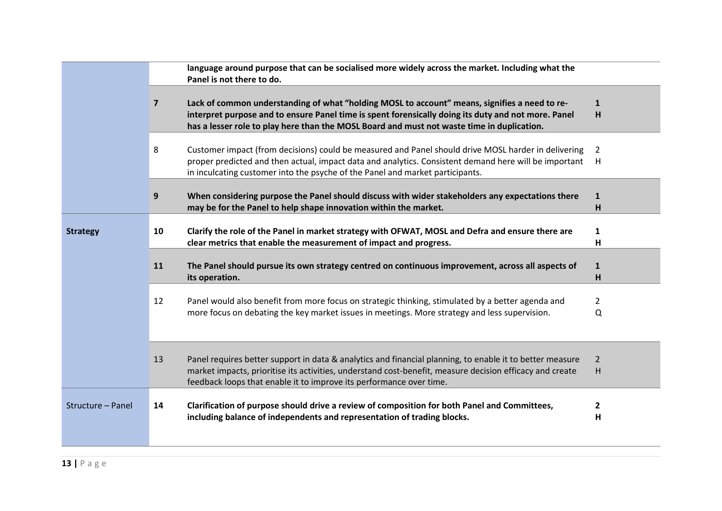|                   |                | language around purpose that can be socialised more widely across the market. Including what the<br>Panel is not there to do.                                                                                                                                                                      |                     |
|-------------------|----------------|----------------------------------------------------------------------------------------------------------------------------------------------------------------------------------------------------------------------------------------------------------------------------------------------------|---------------------|
|                   | $\overline{7}$ | Lack of common understanding of what "holding MOSL to account" means, signifies a need to re-<br>interpret purpose and to ensure Panel time is spent forensically doing its duty and not more. Panel<br>has a lesser role to play here than the MOSL Board and must not waste time in duplication. | $\mathbf{1}$<br>H   |
|                   | 8              | Customer impact (from decisions) could be measured and Panel should drive MOSL harder in delivering<br>proper predicted and then actual, impact data and analytics. Consistent demand here will be important<br>in inculcating customer into the psyche of the Panel and market participants.      | 2<br>H              |
|                   | 9              | When considering purpose the Panel should discuss with wider stakeholders any expectations there<br>may be for the Panel to help shape innovation within the market.                                                                                                                               | 1<br>н              |
| <b>Strategy</b>   | 10             | Clarify the role of the Panel in market strategy with OFWAT, MOSL and Defra and ensure there are<br>clear metrics that enable the measurement of impact and progress.                                                                                                                              | 1<br>н              |
|                   | 11             | The Panel should pursue its own strategy centred on continuous improvement, across all aspects of<br>its operation.                                                                                                                                                                                | 1<br>н              |
|                   | 12             | Panel would also benefit from more focus on strategic thinking, stimulated by a better agenda and<br>more focus on debating the key market issues in meetings. More strategy and less supervision.                                                                                                 | $\overline{2}$<br>Q |
|                   | 13             | Panel requires better support in data & analytics and financial planning, to enable it to better measure<br>market impacts, prioritise its activities, understand cost-benefit, measure decision efficacy and create<br>feedback loops that enable it to improve its performance over time.        | $\overline{2}$<br>H |
| Structure - Panel | 14             | Clarification of purpose should drive a review of composition for both Panel and Committees,<br>including balance of independents and representation of trading blocks.                                                                                                                            | 2<br>н              |
|                   |                |                                                                                                                                                                                                                                                                                                    |                     |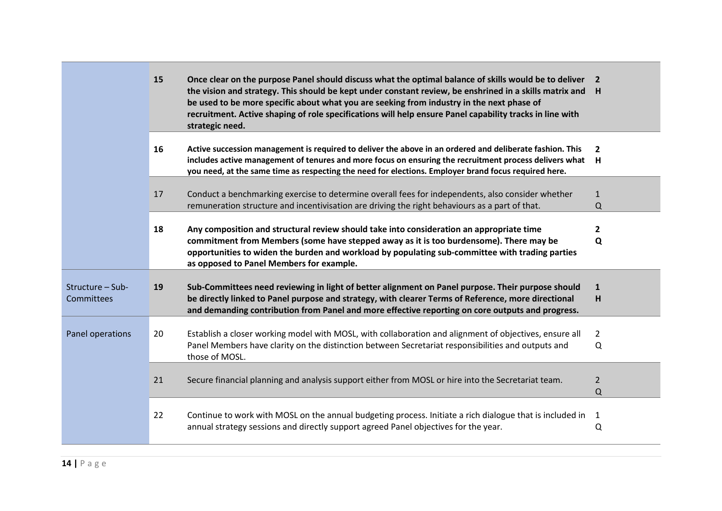|                                | <b>15</b> | Once clear on the purpose Panel should discuss what the optimal balance of skills would be to deliver 2<br>the vision and strategy. This should be kept under constant review, be enshrined in a skills matrix and H<br>be used to be more specific about what you are seeking from industry in the next phase of<br>recruitment. Active shaping of role specifications will help ensure Panel capability tracks in line with<br>strategic need. |                          |
|--------------------------------|-----------|--------------------------------------------------------------------------------------------------------------------------------------------------------------------------------------------------------------------------------------------------------------------------------------------------------------------------------------------------------------------------------------------------------------------------------------------------|--------------------------|
|                                | 16        | Active succession management is required to deliver the above in an ordered and deliberate fashion. This<br>includes active management of tenures and more focus on ensuring the recruitment process delivers what<br>you need, at the same time as respecting the need for elections. Employer brand focus required here.                                                                                                                       | $\overline{2}$<br>H      |
|                                | 17        | Conduct a benchmarking exercise to determine overall fees for independents, also consider whether<br>remuneration structure and incentivisation are driving the right behaviours as a part of that.                                                                                                                                                                                                                                              | $\mathbf{1}$<br>$\Omega$ |
|                                | 18        | Any composition and structural review should take into consideration an appropriate time<br>commitment from Members (some have stepped away as it is too burdensome). There may be<br>opportunities to widen the burden and workload by populating sub-committee with trading parties<br>as opposed to Panel Members for example.                                                                                                                | $\mathbf{2}$<br>Q        |
| Structure - Sub-<br>Committees | 19        | Sub-Committees need reviewing in light of better alignment on Panel purpose. Their purpose should<br>be directly linked to Panel purpose and strategy, with clearer Terms of Reference, more directional<br>and demanding contribution from Panel and more effective reporting on core outputs and progress.                                                                                                                                     | 1<br>н                   |
| Panel operations               | 20        | Establish a closer working model with MOSL, with collaboration and alignment of objectives, ensure all<br>Panel Members have clarity on the distinction between Secretariat responsibilities and outputs and<br>those of MOSL.                                                                                                                                                                                                                   | $\overline{2}$<br>Q      |
|                                | 21        | Secure financial planning and analysis support either from MOSL or hire into the Secretariat team.                                                                                                                                                                                                                                                                                                                                               | $\overline{2}$<br>Q      |
|                                | 22        | Continue to work with MOSL on the annual budgeting process. Initiate a rich dialogue that is included in<br>annual strategy sessions and directly support agreed Panel objectives for the year.                                                                                                                                                                                                                                                  | 1<br>Q                   |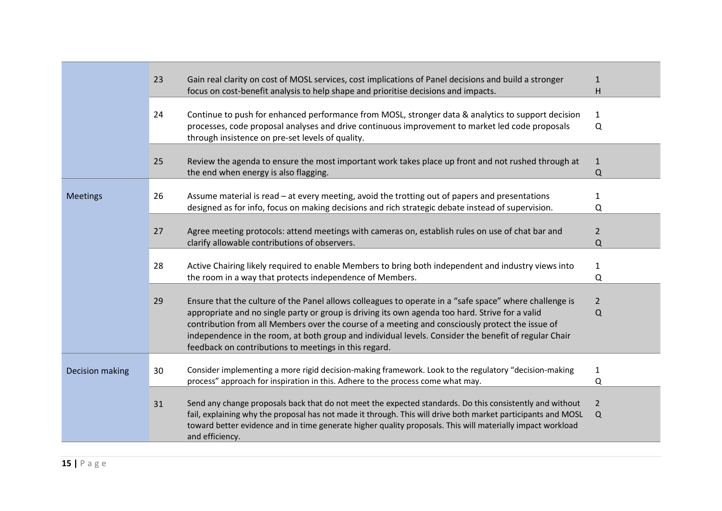|                 | 23 | Gain real clarity on cost of MOSL services, cost implications of Panel decisions and build a stronger<br>focus on cost-benefit analysis to help shape and prioritise decisions and impacts.                                                                                                                                                                                                                                                                                   | 1<br>н                   |
|-----------------|----|-------------------------------------------------------------------------------------------------------------------------------------------------------------------------------------------------------------------------------------------------------------------------------------------------------------------------------------------------------------------------------------------------------------------------------------------------------------------------------|--------------------------|
|                 | 24 | Continue to push for enhanced performance from MOSL, stronger data & analytics to support decision<br>processes, code proposal analyses and drive continuous improvement to market led code proposals<br>through insistence on pre-set levels of quality.                                                                                                                                                                                                                     | $\mathbf{1}$<br>Q        |
|                 | 25 | Review the agenda to ensure the most important work takes place up front and not rushed through at<br>the end when energy is also flagging.                                                                                                                                                                                                                                                                                                                                   | $\mathbf{1}$<br>$\Omega$ |
| <b>Meetings</b> | 26 | Assume material is read - at every meeting, avoid the trotting out of papers and presentations<br>designed as for info, focus on making decisions and rich strategic debate instead of supervision.                                                                                                                                                                                                                                                                           | $\mathbf{1}$<br>Q        |
|                 | 27 | Agree meeting protocols: attend meetings with cameras on, establish rules on use of chat bar and<br>clarify allowable contributions of observers.                                                                                                                                                                                                                                                                                                                             | $\overline{2}$<br>Q      |
|                 | 28 | Active Chairing likely required to enable Members to bring both independent and industry views into<br>the room in a way that protects independence of Members.                                                                                                                                                                                                                                                                                                               | $\mathbf{1}$<br>Q        |
|                 | 29 | Ensure that the culture of the Panel allows colleagues to operate in a "safe space" where challenge is<br>appropriate and no single party or group is driving its own agenda too hard. Strive for a valid<br>contribution from all Members over the course of a meeting and consciously protect the issue of<br>independence in the room, at both group and individual levels. Consider the benefit of regular Chair<br>feedback on contributions to meetings in this regard. | $\overline{2}$<br>Q      |
| Decision making | 30 | Consider implementing a more rigid decision-making framework. Look to the regulatory "decision-making<br>process" approach for inspiration in this. Adhere to the process come what may.                                                                                                                                                                                                                                                                                      | 1<br>Q                   |
|                 | 31 | Send any change proposals back that do not meet the expected standards. Do this consistently and without<br>fail, explaining why the proposal has not made it through. This will drive both market participants and MOSL<br>toward better evidence and in time generate higher quality proposals. This will materially impact workload<br>and efficiency.                                                                                                                     | $\overline{2}$<br>Q      |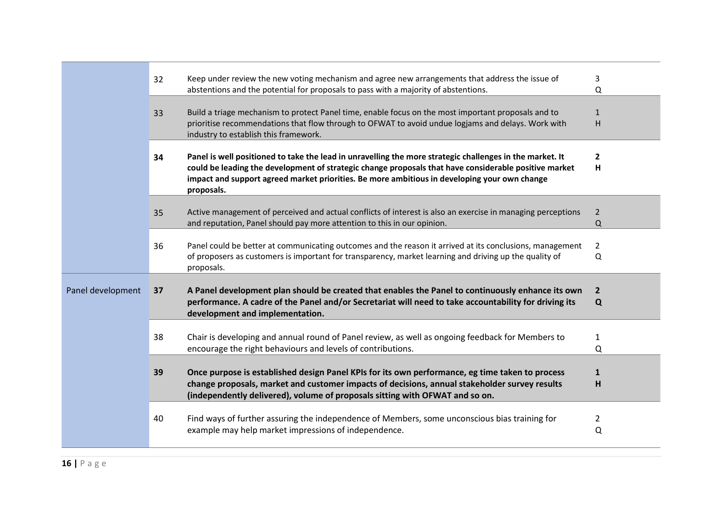|                   | 32 | Keep under review the new voting mechanism and agree new arrangements that address the issue of             | 3                     |
|-------------------|----|-------------------------------------------------------------------------------------------------------------|-----------------------|
|                   |    | abstentions and the potential for proposals to pass with a majority of abstentions.                         | Q                     |
|                   |    |                                                                                                             |                       |
|                   | 33 | Build a triage mechanism to protect Panel time, enable focus on the most important proposals and to         | $\mathbf{1}$          |
|                   |    | prioritise recommendations that flow through to OFWAT to avoid undue logjams and delays. Work with          | H                     |
|                   |    | industry to establish this framework.                                                                       |                       |
|                   |    |                                                                                                             |                       |
|                   | 34 | Panel is well positioned to take the lead in unravelling the more strategic challenges in the market. It    | $\overline{2}$        |
|                   |    | could be leading the development of strategic change proposals that have considerable positive market       | н                     |
|                   |    | impact and support agreed market priorities. Be more ambitious in developing your own change                |                       |
|                   |    | proposals.                                                                                                  |                       |
|                   |    |                                                                                                             |                       |
|                   | 35 | Active management of perceived and actual conflicts of interest is also an exercise in managing perceptions | $\overline{2}$        |
|                   |    | and reputation, Panel should pay more attention to this in our opinion.                                     | Q                     |
|                   |    |                                                                                                             |                       |
|                   | 36 | Panel could be better at communicating outcomes and the reason it arrived at its conclusions, management    | $\mathbf{2}^{\prime}$ |
|                   |    | of proposers as customers is important for transparency, market learning and driving up the quality of      | Q                     |
|                   |    | proposals.                                                                                                  |                       |
|                   |    |                                                                                                             |                       |
| Panel development | 37 | A Panel development plan should be created that enables the Panel to continuously enhance its own           | $\mathbf{2}$          |
|                   |    | performance. A cadre of the Panel and/or Secretariat will need to take accountability for driving its       | Q                     |
|                   |    | development and implementation.                                                                             |                       |
|                   |    |                                                                                                             |                       |
|                   | 38 | Chair is developing and annual round of Panel review, as well as ongoing feedback for Members to            | 1                     |
|                   |    | encourage the right behaviours and levels of contributions.                                                 | Q                     |
|                   |    |                                                                                                             |                       |
|                   | 39 | Once purpose is established design Panel KPIs for its own performance, eg time taken to process             | $\mathbf{1}$          |
|                   |    | change proposals, market and customer impacts of decisions, annual stakeholder survey results               | н                     |
|                   |    | (independently delivered), volume of proposals sitting with OFWAT and so on.                                |                       |
|                   |    |                                                                                                             |                       |
|                   | 40 | Find ways of further assuring the independence of Members, some unconscious bias training for               | 2                     |
|                   |    | example may help market impressions of independence.                                                        | Q                     |
|                   |    |                                                                                                             |                       |
|                   |    |                                                                                                             |                       |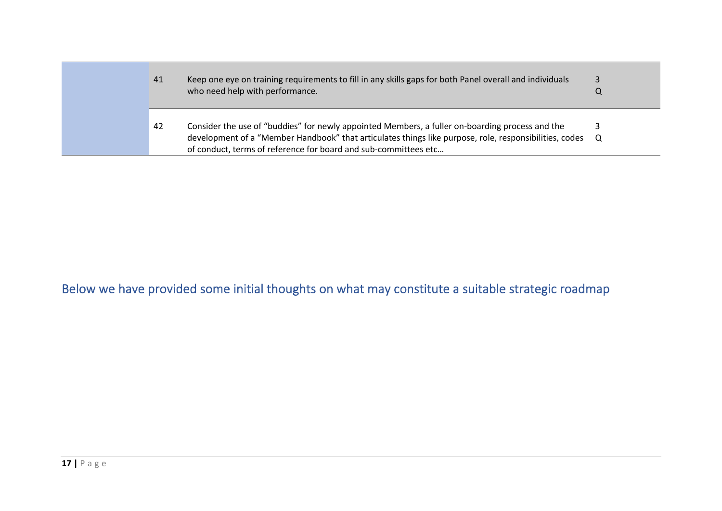| 41 | Keep one eye on training requirements to fill in any skills gaps for both Panel overall and individuals<br>who need help with performance.                                                                                                                                     |  |
|----|--------------------------------------------------------------------------------------------------------------------------------------------------------------------------------------------------------------------------------------------------------------------------------|--|
| 42 | Consider the use of "buddies" for newly appointed Members, a fuller on-boarding process and the<br>development of a "Member Handbook" that articulates things like purpose, role, responsibilities, codes Q<br>of conduct, terms of reference for board and sub-committees etc |  |

## Below we have provided some initial thoughts on what may constitute a suitable strategic roadmap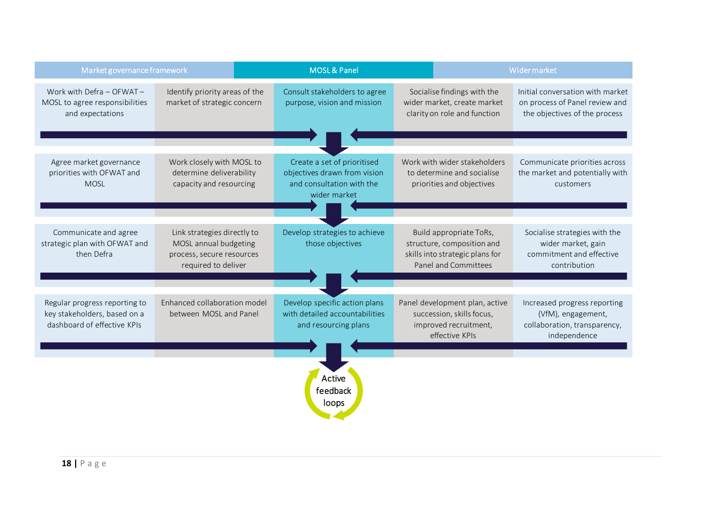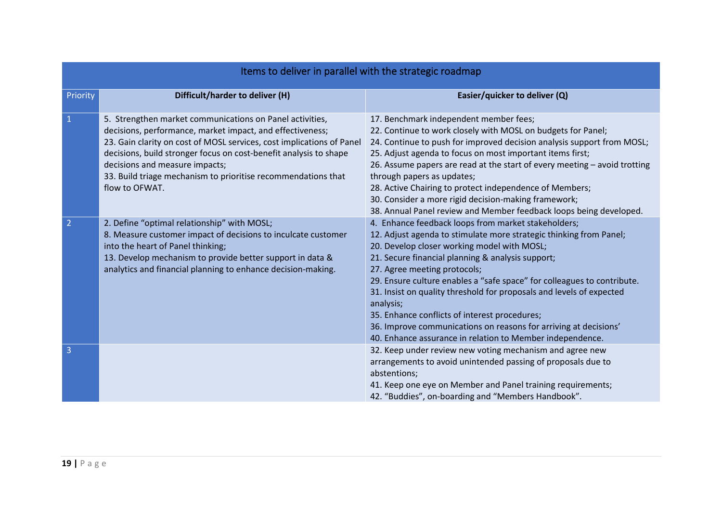| Items to deliver in parallel with the strategic roadmap |                                                                                                                                                                                                                                                                                                                                                                                          |                                                                                                                                                                                                                                                                                                                                                                                                                                                                                                                                                                                                                 |  |  |
|---------------------------------------------------------|------------------------------------------------------------------------------------------------------------------------------------------------------------------------------------------------------------------------------------------------------------------------------------------------------------------------------------------------------------------------------------------|-----------------------------------------------------------------------------------------------------------------------------------------------------------------------------------------------------------------------------------------------------------------------------------------------------------------------------------------------------------------------------------------------------------------------------------------------------------------------------------------------------------------------------------------------------------------------------------------------------------------|--|--|
| Priority                                                | Difficult/harder to deliver (H)                                                                                                                                                                                                                                                                                                                                                          | Easier/quicker to deliver (Q)                                                                                                                                                                                                                                                                                                                                                                                                                                                                                                                                                                                   |  |  |
| $\mathbf{1}$                                            | 5. Strengthen market communications on Panel activities,<br>decisions, performance, market impact, and effectiveness;<br>23. Gain clarity on cost of MOSL services, cost implications of Panel<br>decisions, build stronger focus on cost-benefit analysis to shape<br>decisions and measure impacts;<br>33. Build triage mechanism to prioritise recommendations that<br>flow to OFWAT. | 17. Benchmark independent member fees;<br>22. Continue to work closely with MOSL on budgets for Panel;<br>24. Continue to push for improved decision analysis support from MOSL;<br>25. Adjust agenda to focus on most important items first;<br>26. Assume papers are read at the start of every meeting - avoid trotting<br>through papers as updates;<br>28. Active Chairing to protect independence of Members;<br>30. Consider a more rigid decision-making framework;<br>38. Annual Panel review and Member feedback loops being developed.                                                               |  |  |
| $\overline{2}$                                          | 2. Define "optimal relationship" with MOSL;<br>8. Measure customer impact of decisions to inculcate customer<br>into the heart of Panel thinking;<br>13. Develop mechanism to provide better support in data &<br>analytics and financial planning to enhance decision-making.                                                                                                           | 4. Enhance feedback loops from market stakeholders;<br>12. Adjust agenda to stimulate more strategic thinking from Panel;<br>20. Develop closer working model with MOSL;<br>21. Secure financial planning & analysis support;<br>27. Agree meeting protocols;<br>29. Ensure culture enables a "safe space" for colleagues to contribute.<br>31. Insist on quality threshold for proposals and levels of expected<br>analysis;<br>35. Enhance conflicts of interest procedures;<br>36. Improve communications on reasons for arriving at decisions'<br>40. Enhance assurance in relation to Member independence. |  |  |
| $\overline{3}$                                          |                                                                                                                                                                                                                                                                                                                                                                                          | 32. Keep under review new voting mechanism and agree new<br>arrangements to avoid unintended passing of proposals due to<br>abstentions;<br>41. Keep one eye on Member and Panel training requirements;<br>42. "Buddies", on-boarding and "Members Handbook".                                                                                                                                                                                                                                                                                                                                                   |  |  |